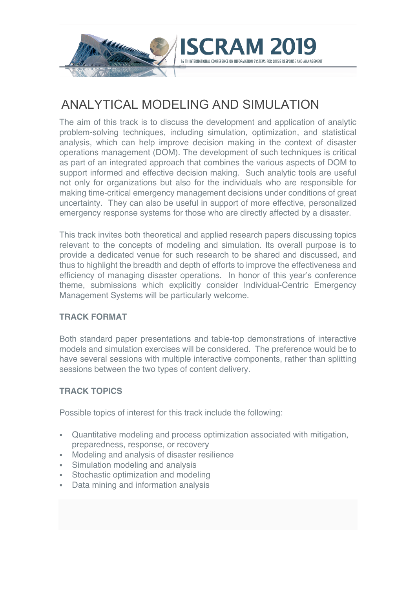

## ANALYTICAL MODELING AND SIMULATION

The aim of this track is to discuss the development and application of analytic problem-solving techniques, including simulation, optimization, and statistical analysis, which can help improve decision making in the context of disaster operations management (DOM). The development of such techniques is critical as part of an integrated approach that combines the various aspects of DOM to support informed and effective decision making. Such analytic tools are useful not only for organizations but also for the individuals who are responsible for making time-critical emergency management decisions under conditions of great uncertainty. They can also be useful in support of more effective, personalized emergency response systems for those who are directly affected by a disaster.

This track invites both theoretical and applied research papers discussing topics relevant to the concepts of modeling and simulation. Its overall purpose is to provide a dedicated venue for such research to be shared and discussed, and thus to highlight the breadth and depth of efforts to improve the effectiveness and efficiency of managing disaster operations. In honor of this year's conference theme, submissions which explicitly consider Individual-Centric Emergency Management Systems will be particularly welcome.

## **TRACK FORMAT**

Both standard paper presentations and table-top demonstrations of interactive models and simulation exercises will be considered. The preference would be to have several sessions with multiple interactive components, rather than splitting sessions between the two types of content delivery.

## **TRACK TOPICS**

Possible topics of interest for this track include the following:

- § Quantitative modeling and process optimization associated with mitigation, preparedness, response, or recovery
- § Modeling and analysis of disaster resilience
- Simulation modeling and analysis
- Stochastic optimization and modeling
- § Data mining and information analysis